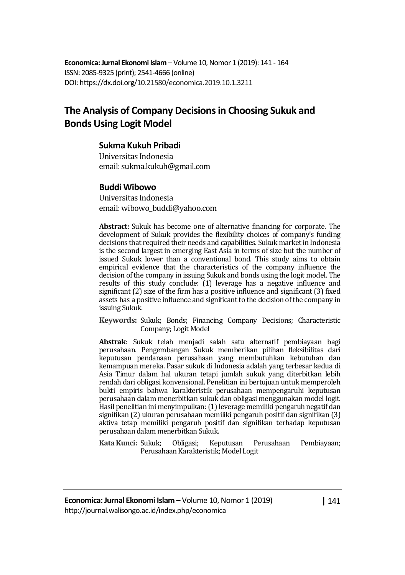**Economica: Jurnal Ekonomi Islam** – Volume 10, Nomor 1 (2019): 141 - 164 ISSN: 2085-9325 (print); 2541-4666 (online) DOI: https://dx.doi.org/10.21580/economica.2019.10.1.3211

# **The Analysis of Company Decisions in Choosing Sukuk and Bonds Using Logit Model**

#### **Sukma Kukuh Pribadi**

Universitas Indonesia email: sukma.kukuh@gmail.com

#### **Buddi Wibowo**

Universitas Indonesia email: wibowo\_buddi@yahoo.com

**Abstract:** Sukuk has become one of alternative financing for corporate. The development of Sukuk provides the flexibility choices of company's funding decisions that required their needs and capabilities. Sukuk market in Indonesia is the second largest in emerging East Asia in terms of size but the number of issued Sukuk lower than a conventional bond. This study aims to obtain empirical evidence that the characteristics of the company influence the decision of the company in issuing Sukuk and bonds using the logit model. The results of this study conclude: (1) leverage has a negative influence and significant (2) size of the firm has a positive influence and significant (3) fixed assets has a positive influence and significant to the decision of the company in issuing Sukuk.

**Keywords:** Sukuk; Bonds; Financing Company Decisions; Characteristic Company; Logit Model

**Abstrak**: Sukuk telah menjadi salah satu alternatif pembiayaan bagi perusahaan. Pengembangan Sukuk memberikan pilihan fleksibilitas dari keputusan pendanaan perusahaan yang membutuhkan kebutuhan dan kemampuan mereka. Pasar sukuk di Indonesia adalah yang terbesar kedua di Asia Timur dalam hal ukuran tetapi jumlah sukuk yang diterbitkan lebih rendah dari obligasi konvensional. Penelitian ini bertujuan untuk memperoleh bukti empiris bahwa karakteristik perusahaan mempengaruhi keputusan perusahaan dalam menerbitkan sukuk dan obligasi menggunakan model logit. Hasil penelitian ini menyimpulkan: (1) leverage memiliki pengaruh negatif dan signifikan (2) ukuran perusahaan memiliki pengaruh positif dan signifikan (3) aktiva tetap memiliki pengaruh positif dan signifikan terhadap keputusan perusahaan dalam menerbitkan Sukuk.

**Kata Kunci:** Sukuk; Obligasi; Keputusan Perusahaan Pembiayaan; Perusahaan Karakteristik; Model Logit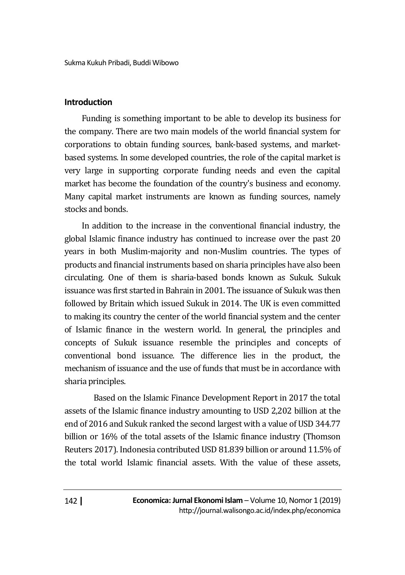Sukma Kukuh Pribadi, Buddi Wibowo

### **Introduction**

Funding is something important to be able to develop its business for the company. There are two main models of the world financial system for corporations to obtain funding sources, bank-based systems, and marketbased systems. In some developed countries, the role of the capital market is very large in supporting corporate funding needs and even the capital market has become the foundation of the country's business and economy. Many capital market instruments are known as funding sources, namely stocks and bonds.

In addition to the increase in the conventional financial industry, the global Islamic finance industry has continued to increase over the past 20 years in both Muslim-majority and non-Muslim countries. The types of products and financial instruments based on sharia principles have also been circulating. One of them is sharia-based bonds known as Sukuk. Sukuk issuance was first started in Bahrain in 2001. The issuance of Sukuk was then followed by Britain which issued Sukuk in 2014. The UK is even committed to making its country the center of the world financial system and the center of Islamic finance in the western world. In general, the principles and concepts of Sukuk issuance resemble the principles and concepts of conventional bond issuance. The difference lies in the product, the mechanism of issuance and the use of funds that must be in accordance with sharia principles.

Based on the Islamic Finance Development Report in 2017 the total assets of the Islamic finance industry amounting to USD 2,202 billion at the end of 2016 and Sukuk ranked the second largest with a value of USD 344.77 billion or 16% of the total assets of the Islamic finance industry (Thomson Reuters 2017). Indonesia contributed USD 81.839 billion or around 11.5% of the total world Islamic financial assets. With the value of these assets,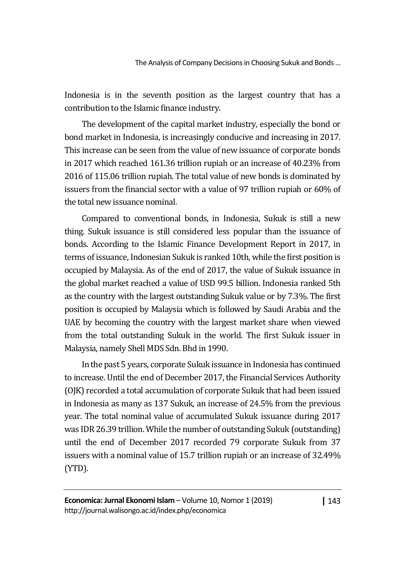Indonesia is in the seventh position as the largest country that has a contribution to the Islamic finance industry.

The development of the capital market industry, especially the bond or bond market in Indonesia, is increasingly conducive and increasing in 2017. This increase can be seen from the value of new issuance of corporate bonds in 2017 which reached 161.36 trillion rupiah or an increase of 40.23% from 2016 of 115.06 trillion rupiah. The total value of new bonds is dominated by issuers from the financial sector with a value of 97 trillion rupiah or 60% of the total new issuance nominal.

Compared to conventional bonds, in Indonesia, Sukuk is still a new thing. Sukuk issuance is still considered less popular than the issuance of bonds. According to the Islamic Finance Development Report in 2017, in terms of issuance, Indonesian Sukuk is ranked 10th, while the first position is occupied by Malaysia. As of the end of 2017, the value of Sukuk issuance in the global market reached a value of USD 99.5 billion. Indonesia ranked 5th as the country with the largest outstanding Sukuk value or by 7.3%. The first position is occupied by Malaysia which is followed by Saudi Arabia and the UAE by becoming the country with the largest market share when viewed from the total outstanding Sukuk in the world. The first Sukuk issuer in Malaysia, namely Shell MDS Sdn. Bhd in 1990.

In the past 5 years, corporate Sukuk issuance in Indonesia has continued to increase. Until the end of December 2017, the Financial Services Authority (OJK) recorded a total accumulation of corporate Sukuk that had been issued in Indonesia as many as 137 Sukuk, an increase of 24.5% from the previous year. The total nominal value of accumulated Sukuk issuance during 2017 was IDR 26.39 trillion. While the number of outstanding Sukuk (outstanding) until the end of December 2017 recorded 79 corporate Sukuk from 37 issuers with a nominal value of 15.7 trillion rupiah or an increase of 32.49% (YTD).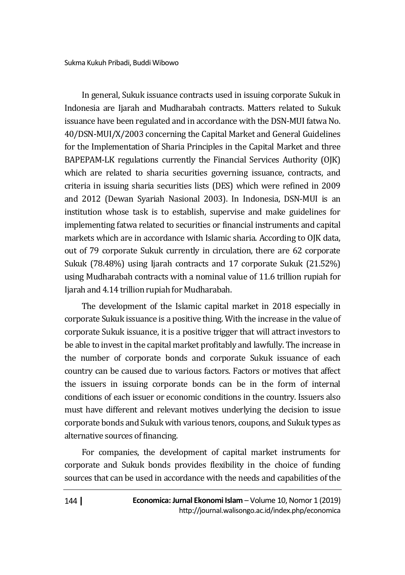In general, Sukuk issuance contracts used in issuing corporate Sukuk in Indonesia are Ijarah and Mudharabah contracts. Matters related to Sukuk issuance have been regulated and in accordance with the DSN-MUI fatwa No. 40/DSN-MUI/X/2003 concerning the Capital Market and General Guidelines for the Implementation of Sharia Principles in the Capital Market and three BAPEPAM-LK regulations currently the Financial Services Authority (OJK) which are related to sharia securities governing issuance, contracts, and criteria in issuing sharia securities lists (DES) which were refined in 2009 and 2012 (Dewan Syariah Nasional 2003). In Indonesia, DSN-MUI is an institution whose task is to establish, supervise and make guidelines for implementing fatwa related to securities or financial instruments and capital markets which are in accordance with Islamic sharia. According to OJK data, out of 79 corporate Sukuk currently in circulation, there are 62 corporate Sukuk (78.48%) using Ijarah contracts and 17 corporate Sukuk (21.52%) using Mudharabah contracts with a nominal value of 11.6 trillion rupiah for Ijarah and 4.14 trillion rupiah for Mudharabah.

The development of the Islamic capital market in 2018 especially in corporate Sukuk issuance is a positive thing. With the increase in the value of corporate Sukuk issuance, it is a positive trigger that will attract investors to be able to invest in the capital market profitably and lawfully. The increase in the number of corporate bonds and corporate Sukuk issuance of each country can be caused due to various factors. Factors or motives that affect the issuers in issuing corporate bonds can be in the form of internal conditions of each issuer or economic conditions in the country. Issuers also must have different and relevant motives underlying the decision to issue corporate bonds and Sukuk with various tenors, coupons, and Sukuk types as alternative sources of financing.

For companies, the development of capital market instruments for corporate and Sukuk bonds provides flexibility in the choice of funding sources that can be used in accordance with the needs and capabilities of the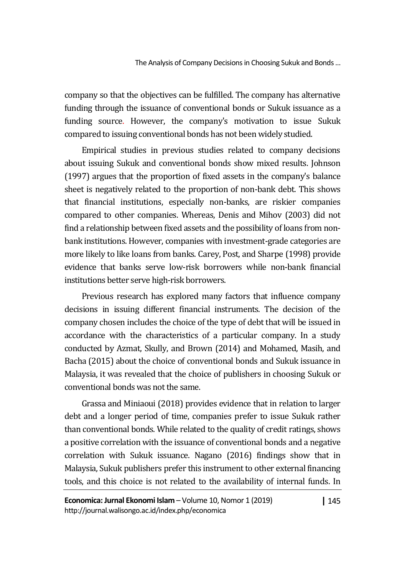company so that the objectives can be fulfilled. The company has alternative funding through the issuance of conventional bonds or Sukuk issuance as a funding source. However, the company's motivation to issue Sukuk compared to issuing conventional bonds has not been widely studied.

Empirical studies in previous studies related to company decisions about issuing Sukuk and conventional bonds show mixed results. Johnson (1997) argues that the proportion of fixed assets in the company's balance sheet is negatively related to the proportion of non-bank debt. This shows that financial institutions, especially non-banks, are riskier companies compared to other companies. Whereas, Denis and Mihov (2003) did not find a relationship between fixed assets and the possibility of loans from nonbank institutions. However, companies with investment-grade categories are more likely to like loans from banks. Carey, Post, and Sharpe (1998) provide evidence that banks serve low-risk borrowers while non-bank financial institutions better serve high-risk borrowers.

Previous research has explored many factors that influence company decisions in issuing different financial instruments. The decision of the company chosen includes the choice of the type of debt that will be issued in accordance with the characteristics of a particular company. In a study conducted by Azmat, Skully, and Brown (2014) and Mohamed, Masih, and Bacha (2015) about the choice of conventional bonds and Sukuk issuance in Malaysia, it was revealed that the choice of publishers in choosing Sukuk or conventional bonds was not the same.

Grassa and Miniaoui (2018) provides evidence that in relation to larger debt and a longer period of time, companies prefer to issue Sukuk rather than conventional bonds. While related to the quality of credit ratings, shows a positive correlation with the issuance of conventional bonds and a negative correlation with Sukuk issuance. Nagano (2016) findings show that in Malaysia, Sukuk publishers prefer this instrument to other external financing tools, and this choice is not related to the availability of internal funds. In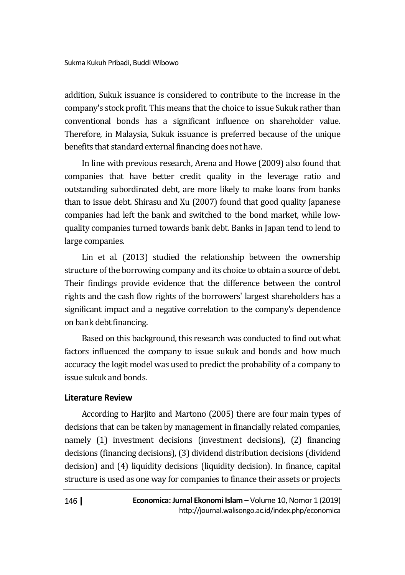addition, Sukuk issuance is considered to contribute to the increase in the company's stock profit. This means that the choice to issue Sukuk rather than conventional bonds has a significant influence on shareholder value. Therefore, in Malaysia, Sukuk issuance is preferred because of the unique benefits that standard external financing does not have.

In line with previous research, Arena and Howe (2009) also found that companies that have better credit quality in the leverage ratio and outstanding subordinated debt, are more likely to make loans from banks than to issue debt. Shirasu and Xu (2007) found that good quality Japanese companies had left the bank and switched to the bond market, while lowquality companies turned towards bank debt. Banks in Japan tend to lend to large companies.

Lin et al. (2013) studied the relationship between the ownership structure of the borrowing company and its choice to obtain a source of debt. Their findings provide evidence that the difference between the control rights and the cash flow rights of the borrowers' largest shareholders has a significant impact and a negative correlation to the company's dependence on bank debt financing.

Based on this background, this research was conducted to find out what factors influenced the company to issue sukuk and bonds and how much accuracy the logit model was used to predict the probability of a company to issue sukuk and bonds.

### **Literature Review**

According to Harjito and Martono (2005) there are four main types of decisions that can be taken by management in financially related companies, namely (1) investment decisions (investment decisions), (2) financing decisions (financing decisions), (3) dividend distribution decisions (dividend decision) and (4) liquidity decisions (liquidity decision). In finance, capital structure is used as one way for companies to finance their assets or projects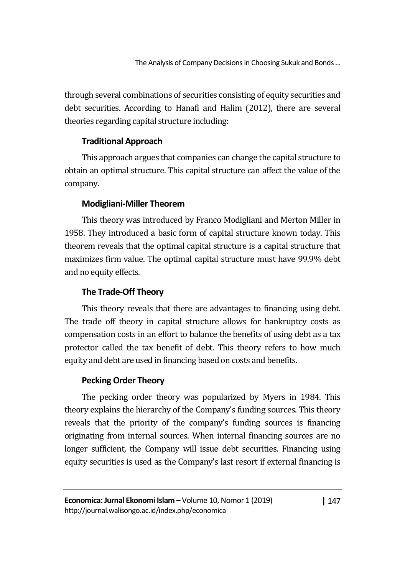through several combinations of securities consisting of equity securities and debt securities. According to Hanafi and Halim (2012), there are several theories regarding capital structure including:

### **Traditional Approach**

This approach argues that companies can change the capital structure to obtain an optimal structure. This capital structure can affect the value of the company.

## **Modigliani-Miller Theorem**

This theory was introduced by Franco Modigliani and Merton Miller in 1958. They introduced a basic form of capital structure known today. This theorem reveals that the optimal capital structure is a capital structure that maximizes firm value. The optimal capital structure must have 99.9% debt and no equity effects.

## **The Trade-Off Theory**

This theory reveals that there are advantages to financing using debt. The trade off theory in capital structure allows for bankruptcy costs as compensation costs in an effort to balance the benefits of using debt as a tax protector called the tax benefit of debt. This theory refers to how much equity and debt are used in financing based on costs and benefits.

## **Pecking Order Theory**

The pecking order theory was popularized by Myers in 1984. This theory explains the hierarchy of the Company's funding sources. This theory reveals that the priority of the company's funding sources is financing originating from internal sources. When internal financing sources are no longer sufficient, the Company will issue debt securities. Financing using equity securities is used as the Company's last resort if external financing is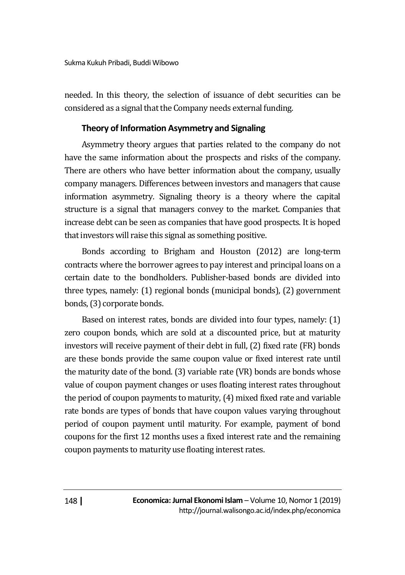needed. In this theory, the selection of issuance of debt securities can be considered as a signal that the Company needs external funding.

### **Theory of Information Asymmetry and Signaling**

Asymmetry theory argues that parties related to the company do not have the same information about the prospects and risks of the company. There are others who have better information about the company, usually company managers. Differences between investors and managers that cause information asymmetry. Signaling theory is a theory where the capital structure is a signal that managers convey to the market. Companies that increase debt can be seen as companies that have good prospects. It is hoped that investors will raise this signal as something positive.

Bonds according to Brigham and Houston (2012) are long-term contracts where the borrower agrees to pay interest and principal loans on a certain date to the bondholders. Publisher-based bonds are divided into three types, namely: (1) regional bonds (municipal bonds), (2) government bonds, (3) corporate bonds.

Based on interest rates, bonds are divided into four types, namely: (1) zero coupon bonds, which are sold at a discounted price, but at maturity investors will receive payment of their debt in full, (2) fixed rate (FR) bonds are these bonds provide the same coupon value or fixed interest rate until the maturity date of the bond. (3) variable rate (VR) bonds are bonds whose value of coupon payment changes or uses floating interest rates throughout the period of coupon payments to maturity, (4) mixed fixed rate and variable rate bonds are types of bonds that have coupon values varying throughout period of coupon payment until maturity. For example, payment of bond coupons for the first 12 months uses a fixed interest rate and the remaining coupon payments to maturity use floating interest rates.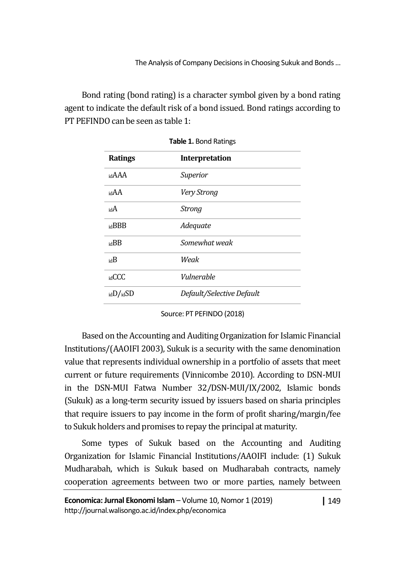Bond rating (bond rating) is a character symbol given by a bond rating agent to indicate the default risk of a bond issued. Bond ratings according to PT PEFINDO can be seen as table 1:

| <b>Ratings</b> | Interpretation            |
|----------------|---------------------------|
| idAAA          | Superior                  |
| idAA           | Very Strong               |
| idA            | <b>Strong</b>             |
| idBBB          | Adequate                  |
| idBB           | Somewhat weak             |
| idB            | Weak                      |
| GCC            | Vulnerable                |
| idD/dSD        | Default/Selective Default |

**Table 1.** Bond Ratings

Source: PT PEFINDO (2018)

Based on the Accounting and Auditing Organization for Islamic Financial Institutions/(AAOIFI 2003), Sukuk is a security with the same denomination value that represents individual ownership in a portfolio of assets that meet current or future requirements (Vinnicombe 2010). According to DSN-MUI in the DSN-MUI Fatwa Number 32/DSN-MUI/IX/2002, Islamic bonds (Sukuk) as a long-term security issued by issuers based on sharia principles that require issuers to pay income in the form of profit sharing/margin/fee to Sukuk holders and promises to repay the principal at maturity.

Some types of Sukuk based on the Accounting and Auditing Organization for Islamic Financial Institutions/AAOIFI include: (1) Sukuk Mudharabah, which is Sukuk based on Mudharabah contracts, namely cooperation agreements between two or more parties, namely between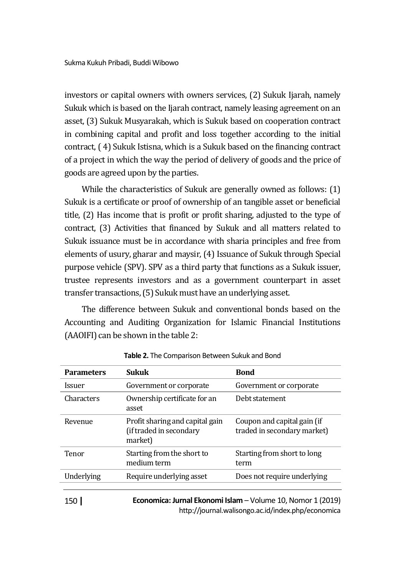investors or capital owners with owners services, (2) Sukuk Ijarah, namely Sukuk which is based on the Ijarah contract, namely leasing agreement on an asset, (3) Sukuk Musyarakah, which is Sukuk based on cooperation contract in combining capital and profit and loss together according to the initial contract, ( 4) Sukuk Istisna, which is a Sukuk based on the financing contract of a project in which the way the period of delivery of goods and the price of goods are agreed upon by the parties.

While the characteristics of Sukuk are generally owned as follows: (1) Sukuk is a certificate or proof of ownership of an tangible asset or beneficial title, (2) Has income that is profit or profit sharing, adjusted to the type of contract, (3) Activities that financed by Sukuk and all matters related to Sukuk issuance must be in accordance with sharia principles and free from elements of usury, gharar and maysir, (4) Issuance of Sukuk through Special purpose vehicle (SPV). SPV as a third party that functions as a Sukuk issuer, trustee represents investors and as a government counterpart in asset transfer transactions, (5) Sukuk must have an underlying asset.

The difference between Sukuk and conventional bonds based on the Accounting and Auditing Organization for Islamic Financial Institutions (AAOIFI) can be shown in the table 2:

| <b>Parameters</b>           | <b>Sukuk</b>                                                          | <b>Bond</b>                                                |
|-----------------------------|-----------------------------------------------------------------------|------------------------------------------------------------|
| <i><u><b>Issuer</b></u></i> | Government or corporate                                               | Government or corporate                                    |
| Characters                  | Ownership certificate for an<br>asset                                 | Debt statement                                             |
| Revenue                     | Profit sharing and capital gain<br>(if traded in secondary<br>market) | Coupon and capital gain (if<br>traded in secondary market) |
| Tenor                       | Starting from the short to<br>medium term                             | Starting from short to long<br>term                        |
| Underlying                  | Require underlying asset                                              | Does not require underlying                                |
|                             |                                                                       |                                                            |

**Table 2.** The Comparison Between Sukuk and Bond

150 **|**

**Economica: Jurnal Ekonomi Islam** – Volume 10, Nomor 1 (2019) http://journal.walisongo.ac.id/index.php/economica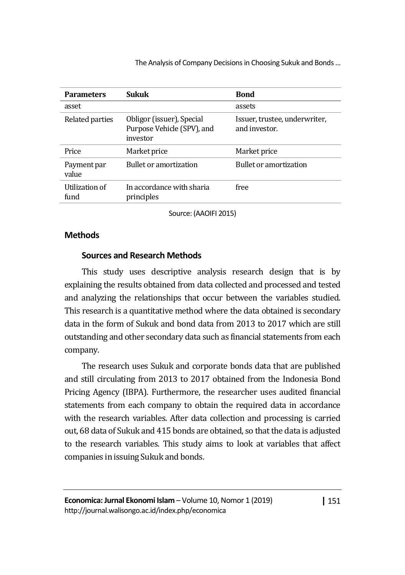| <b>Parameters</b>      | <b>Sukuk</b>                                                        | <b>Bond</b>                                    |
|------------------------|---------------------------------------------------------------------|------------------------------------------------|
| asset                  |                                                                     | assets                                         |
| Related parties        | Obligor (issuer), Special<br>Purpose Vehicle (SPV), and<br>investor | Issuer, trustee, underwriter,<br>and investor. |
| Price                  | Market price                                                        | Market price                                   |
| Payment par<br>value   | <b>Bullet or amortization</b>                                       | <b>Bullet or amortization</b>                  |
| Utilization of<br>fund | In accordance with sharia<br>principles                             | free                                           |

Source: (AAOIFI 2015)

### **Methods**

### **Sources and Research Methods**

This study uses descriptive analysis research design that is by explaining the results obtained from data collected and processed and tested and analyzing the relationships that occur between the variables studied. This research is a quantitative method where the data obtained is secondary data in the form of Sukuk and bond data from 2013 to 2017 which are still outstanding and other secondary data such as financial statements from each company.

The research uses Sukuk and corporate bonds data that are published and still circulating from 2013 to 2017 obtained from the Indonesia Bond Pricing Agency (IBPA). Furthermore, the researcher uses audited financial statements from each company to obtain the required data in accordance with the research variables. After data collection and processing is carried out, 68 data of Sukuk and 415 bonds are obtained, so that the data is adjusted to the research variables. This study aims to look at variables that affect companies in issuing Sukuk and bonds.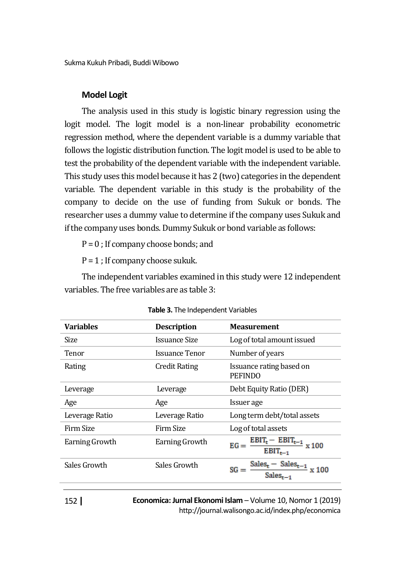Sukma Kukuh Pribadi, Buddi Wibowo

#### **Model Logit**

The analysis used in this study is logistic binary regression using the logit model. The logit model is a non-linear probability econometric regression method, where the dependent variable is a dummy variable that follows the logistic distribution function. The logit model is used to be able to test the probability of the dependent variable with the independent variable. This study uses this model because it has 2 (two) categories in the dependent variable. The dependent variable in this study is the probability of the company to decide on the use of funding from Sukuk or bonds. The researcher uses a dummy value to determine if the company uses Sukuk and if the company uses bonds. Dummy Sukuk or bond variable as follows:

 $P = 0$ : If company choose bonds; and

 $P = 1$ ; If company choose sukuk.

The independent variables examined in this study were 12 independent variables. The free variables are as table 3:

| <b>Variables</b> | <b>Description</b> | <b>Measurement</b>                                                                                          |
|------------------|--------------------|-------------------------------------------------------------------------------------------------------------|
| Size             | Issuance Size      | Log of total amount issued                                                                                  |
| Tenor            | Issuance Tenor     | Number of years                                                                                             |
| Rating           | Credit Rating      | Issuance rating based on<br><b>PEFINDO</b>                                                                  |
| Leverage         | Leverage           | Debt Equity Ratio (DER)                                                                                     |
| Age              | Age                | Issuer age                                                                                                  |
| Leverage Ratio   | Leverage Ratio     | Long term debt/total assets                                                                                 |
| Firm Size        | Firm Size          | Log of total assets                                                                                         |
| Earning Growth   | Earning Growth     | $\frac{\text{EBIT}_{t}-\text{EBIT}_{t-1}}{\text{EBIT}_{t-1}}$<br>$EG =$<br>x 100                            |
| Sales Growth     | Sales Growth       | $\frac{\text{Sales}_{\text{t}} - \text{ Sales}_{\text{t}-1}}{\text{Sales}_{\text{t}-1}}$<br>$SG =$<br>x 100 |
|                  |                    |                                                                                                             |

|  |  | Table 3. The Independent Variables |  |
|--|--|------------------------------------|--|
|--|--|------------------------------------|--|

152 **|**

**Economica: Jurnal Ekonomi Islam** – Volume 10, Nomor 1 (2019) http://journal.walisongo.ac.id/index.php/economica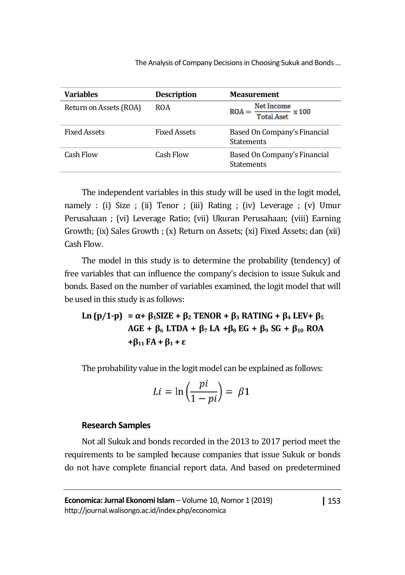| <b>Variables</b>       | <b>Description</b>  | <b>Measurement</b>                                |
|------------------------|---------------------|---------------------------------------------------|
| Return on Assets (ROA) | <b>ROA</b>          | Net Income<br>$ROA = \frac{1}{Total Aset}$ x 100  |
| <b>Fixed Assets</b>    | <b>Fixed Assets</b> | Based On Company's Financial<br><b>Statements</b> |
| Cash Flow              | Cash Flow           | Based On Company's Financial<br><b>Statements</b> |

The independent variables in this study will be used in the logit model, namely : (i) Size ; (ii) Tenor ; (iii) Rating ; (iv) Leverage ; (v) Umur Perusahaan ; (vi) Leverage Ratio; (vii) Ukuran Perusahaan; (viii) Earning Growth; (ix) Sales Growth ; (x) Return on Assets; (xi) Fixed Assets; dan (xii) Cash Flow.

The model in this study is to determine the probability (tendency) of free variables that can influence the company's decision to issue Sukuk and bonds. Based on the number of variables examined, the logit model that will be used in this study is as follows:

**Ln (p/1-p) = α+ β1SIZE + β<sup>2</sup> TENOR + β<sup>3</sup> RATING + β<sup>4</sup> LEV+ β<sup>5</sup> AGE + β<sup>6</sup> LTDA + β<sup>7</sup> LA +β8 EG + β<sup>9</sup> SG + β<sup>10</sup> ROA +β<sup>11</sup> FA + β<sup>1</sup> + ε** 

The probability value in the logit model can be explained as follows:

$$
Li = \ln\left(\frac{pi}{1 - pi}\right) = \beta 1
$$

#### **Research Samples**

Not all Sukuk and bonds recorded in the 2013 to 2017 period meet the requirements to be sampled because companies that issue Sukuk or bonds do not have complete financial report data. And based on predetermined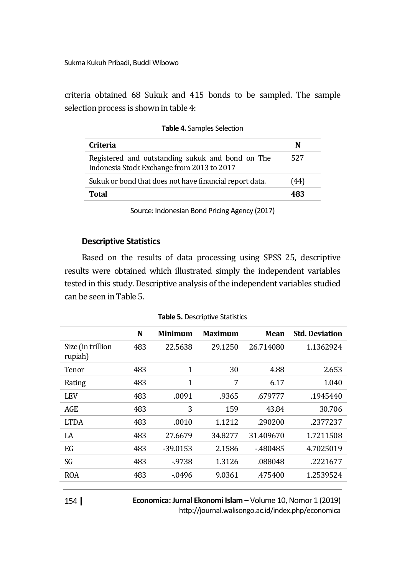Sukma Kukuh Pribadi, Buddi Wibowo

criteria obtained 68 Sukuk and 415 bonds to be sampled. The sample selection process is shown in table 4:

| Criteria                                                                                       | N   |
|------------------------------------------------------------------------------------------------|-----|
| Registered and outstanding sukuk and bond on The<br>Indonesia Stock Exchange from 2013 to 2017 | 527 |
| Sukuk or bond that does not have financial report data.                                        | 44) |
| Total                                                                                          | 483 |

|  | Table 4. Samples Selection |  |  |
|--|----------------------------|--|--|
|--|----------------------------|--|--|

Source: Indonesian Bond Pricing Agency (2017)

#### **Descriptive Statistics**

Based on the results of data processing using SPSS 25, descriptive results were obtained which illustrated simply the independent variables tested in this study. Descriptive analysis of the independent variables studied can be seen in Table 5.

|                              | N   | Minimum    | <b>Maximum</b> | Mean      | <b>Std. Deviation</b> |
|------------------------------|-----|------------|----------------|-----------|-----------------------|
| Size (in trillion<br>rupiah) | 483 | 22.5638    | 29.1250        | 26.714080 | 1.1362924             |
| Tenor                        | 483 | 1          | 30             | 4.88      | 2.653                 |
| Rating                       | 483 | 1          | 7              | 6.17      | 1.040                 |
| LEV                          | 483 | .0091      | .9365          | .679777   | .1945440              |
| AGE                          | 483 | 3          | 159            | 43.84     | 30.706                |
| <b>LTDA</b>                  | 483 | .0010      | 1.1212         | .290200   | .2377237              |
| LA                           | 483 | 27.6679    | 34.8277        | 31.409670 | 1.7211508             |
| EG                           | 483 | $-39.0153$ | 2.1586         | $-480485$ | 4.7025019             |
| SG                           | 483 | $-9738$    | 1.3126         | .088048   | .2221677              |
| ROA                          | 483 | $-0496$    | 9.0361         | .475400   | 1.2539524             |
|                              |     |            |                |           |                       |

**Table 5.** Descriptive Statistics

**Economica: Jurnal Ekonomi Islam** – Volume 10, Nomor 1 (2019)

http://journal.walisongo.ac.id/index.php/economica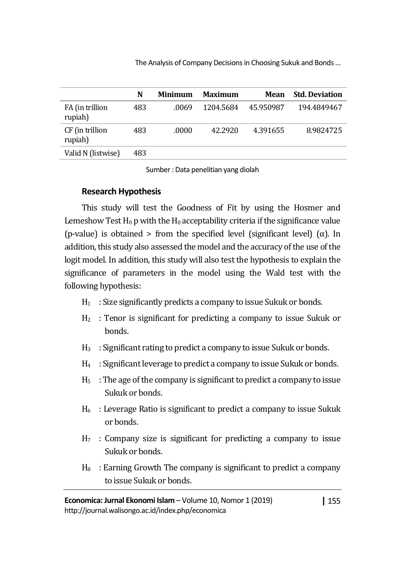|                            | N   | <b>Minimum</b> | <b>Maximum</b> | Mean      | <b>Std. Deviation</b> |
|----------------------------|-----|----------------|----------------|-----------|-----------------------|
| FA (in trillion<br>rupiah) | 483 | .0069          | 1204.5684      | 45.950987 | 194.4849467           |
| CF (in trillion<br>rupiah) | 483 | .0000          | 42.2920        | 4.391655  | 8.9824725             |
| Valid N (listwise)         | 483 |                |                |           |                       |

Sumber : Data penelitian yang diolah

### **Research Hypothesis**

This study will test the Goodness of Fit by using the Hosmer and Lemeshow Test  $H_0$  p with the  $H_0$  acceptability criteria if the significance value (p-value) is obtained > from the specified level (significant level) ( $\alpha$ ). In addition, this study also assessed the model and the accuracy of the use of the logit model. In addition, this study will also test the hypothesis to explain the significance of parameters in the model using the Wald test with the following hypothesis:

- $H_1$  : Size significantly predicts a company to issue Sukuk or bonds.
- H<sup>2</sup> : Tenor is significant for predicting a company to issue Sukuk or bonds.
- $H_3$ : Significant rating to predict a company to issue Sukuk or bonds.
- $H_4$ : Significant leverage to predict a company to issue Sukuk or bonds.
- $H<sub>5</sub>$ : The age of the company is significant to predict a company to issue Sukuk or bonds.
- $H<sub>6</sub>$ : Leverage Ratio is significant to predict a company to issue Sukuk or bonds.
- $H<sub>7</sub>$ : Company size is significant for predicting a company to issue Sukuk or bonds.
- $H_8$ : Earning Growth The company is significant to predict a company to issue Sukuk or bonds.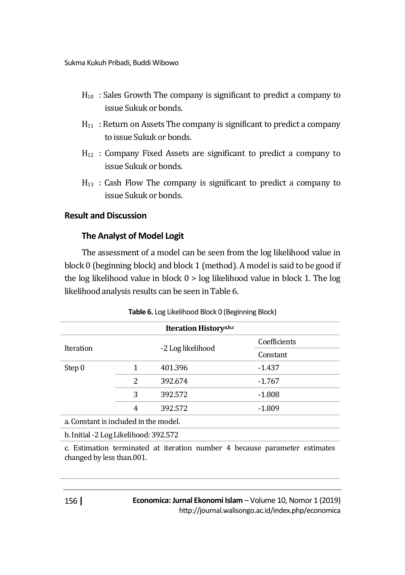- $H_{10}$ : Sales Growth The company is significant to predict a company to issue Sukuk or bonds.
- $H_{11}$ : Return on Assets The company is significant to predict a company to issue Sukuk or bonds.
- H<sup>12</sup> : Company Fixed Assets are significant to predict a company to issue Sukuk or bonds.
- $H_{13}$ : Cash Flow The company is significant to predict a company to issue Sukuk or bonds.

### **Result and Discussion**

### **The Analyst of Model Logit**

The assessment of a model can be seen from the log likelihood value in block 0 (beginning block) and block 1 (method). A model is said to be good if the log likelihood value in block 0 > log likelihood value in block 1. The log likelihood analysis results can be seen in Table 6.

| Iteration History <sup>a,b,c</sup>    |   |                   |              |  |
|---------------------------------------|---|-------------------|--------------|--|
|                                       |   |                   | Coefficients |  |
| Iteration                             |   | -2 Log likelihood | Constant     |  |
| Step 0                                |   | 401.396           | $-1.437$     |  |
|                                       | 2 | 392.674           | $-1.767$     |  |
|                                       | 3 | 392.572           | $-1.808$     |  |
|                                       | 4 | 392.572           | $-1.809$     |  |
| a. Constant is included in the model. |   |                   |              |  |
| b. Initial -2 Log Likelihood: 392.572 |   |                   |              |  |

**Table 6.** Log Likelihood Block 0 (Beginning Block)

c. Estimation terminated at iteration number 4 because parameter estimates changed by less than.001.

**Economica: Jurnal Ekonomi Islam** – Volume 10, Nomor 1 (2019) http://journal.walisongo.ac.id/index.php/economica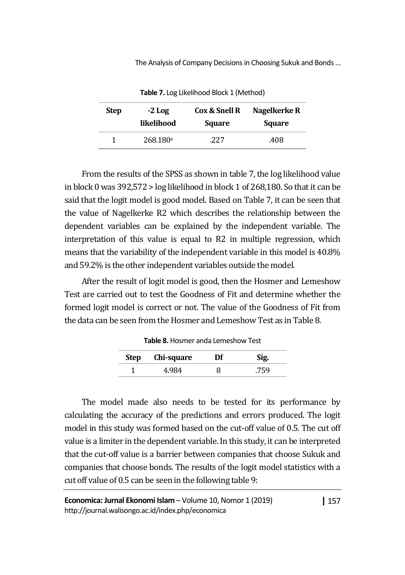| <b>Step</b> | $-2$ Log             | Cox & Snell R | Nagelkerke R  |
|-------------|----------------------|---------------|---------------|
|             | likelihood           | <b>Square</b> | <b>Square</b> |
|             | 268.180 <sup>a</sup> | 227           | .408          |

**Table 7.** Log Likelihood Block 1 (Method)

From the results of the SPSS as shown in table 7, the log likelihood value in block 0 was 392,572 > log likelihood in block 1 of 268,180. So that it can be said that the logit model is good model. Based on Table 7, it can be seen that the value of Nagelkerke R2 which describes the relationship between the dependent variables can be explained by the independent variable. The interpretation of this value is equal to R2 in multiple regression, which means that the variability of the independent variable in this model is 40.8% and 59.2% is the other independent variables outside the model.

After the result of logit model is good, then the Hosmer and Lemeshow Test are carried out to test the Goodness of Fit and determine whether the formed logit model is correct or not. The value of the Goodness of Fit from the data can be seen from the Hosmer and Lemeshow Test as in Table 8.

| Step | Chi-square | Df | Sig. |
|------|------------|----|------|
|      |            |    |      |

**Table 8.** Hosmer anda Lemeshow Test

The model made also needs to be tested for its performance by calculating the accuracy of the predictions and errors produced. The logit model in this study was formed based on the cut-off value of 0.5. The cut off value is a limiter in the dependent variable. In this study, it can be interpreted that the cut-off value is a barrier between companies that choose Sukuk and companies that choose bonds. The results of the logit model statistics with a cut off value of 0.5 can be seen in the following table 9:

**|** 157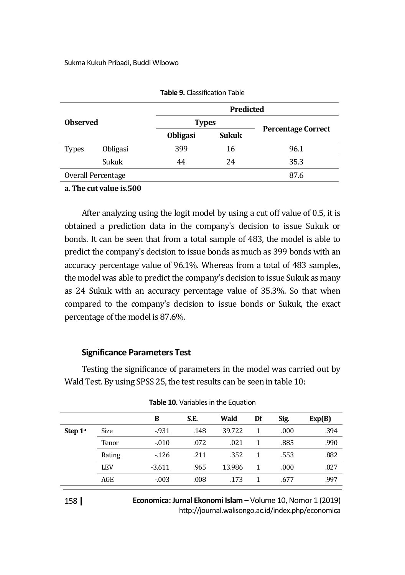|                    |          | <b>Predicted</b> |              |                           |  |  |
|--------------------|----------|------------------|--------------|---------------------------|--|--|
| <b>Observed</b>    |          | <b>Types</b>     |              |                           |  |  |
|                    |          | <b>Obligasi</b>  | <b>Sukuk</b> | <b>Percentage Correct</b> |  |  |
| Types              | Obligasi | 399              | 16           | 96.1                      |  |  |
|                    | Sukuk    | 44               | 24           | 35.3                      |  |  |
| Overall Percentage |          |                  |              | 87.6                      |  |  |
|                    |          |                  |              |                           |  |  |

|  | <b>Table 9.</b> Classification Table |
|--|--------------------------------------|
|--|--------------------------------------|

#### **a. The cut value is.500**

After analyzing using the logit model by using a cut off value of 0.5, it is obtained a prediction data in the company's decision to issue Sukuk or bonds. It can be seen that from a total sample of 483, the model is able to predict the company's decision to issue bonds as much as 399 bonds with an accuracy percentage value of 96.1%. Whereas from a total of 483 samples, the model was able to predict the company's decision to issue Sukuk as many as 24 Sukuk with an accuracy percentage value of 35.3%. So that when compared to the company's decision to issue bonds or Sukuk, the exact percentage of the model is 87.6%.

#### **Significance Parameters Test**

Testing the significance of parameters in the model was carried out by Wald Test. By using SPSS 25, the test results can be seen in table 10:

|           |            | в        | S.E. | Wald   | Df | Sig. | Exp(B) |
|-----------|------------|----------|------|--------|----|------|--------|
| Step $1a$ | Size       | $-931$   | .148 | 39.722 |    | .000 | .394   |
|           | Tenor      | $-0.010$ | .072 | .021   |    | .885 | .990   |
|           | Rating     | $-126$   | .211 | .352   |    | .553 | .882   |
|           | <b>LEV</b> | $-3.611$ | .965 | 13.986 |    | .000 | .027   |
|           | AGE        | $-0.03$  | .008 | .173   |    | .677 | .997   |
|           |            |          |      |        |    |      |        |

#### **Table 10.** Variables in the Equation

**Economica: Jurnal Ekonomi Islam** – Volume 10, Nomor 1 (2019) http://journal.walisongo.ac.id/index.php/economica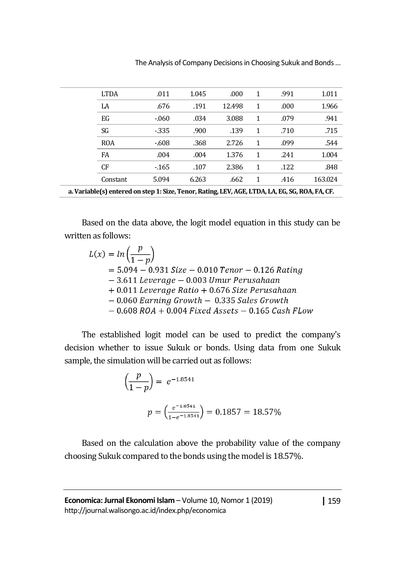|                                                                                                 | <b>LTDA</b> | .011   | 1.045 | .000   | 1 | .991 | 1.011   |
|-------------------------------------------------------------------------------------------------|-------------|--------|-------|--------|---|------|---------|
|                                                                                                 | LA          | .676   | .191  | 12.498 | 1 | .000 | 1.966   |
|                                                                                                 | EG          | $-060$ | .034  | 3.088  | 1 | .079 | .941    |
|                                                                                                 | SG          | $-335$ | .900  | .139   | 1 | .710 | .715    |
|                                                                                                 | <b>ROA</b>  | $-608$ | .368  | 2.726  | 1 | .099 | .544    |
|                                                                                                 | FA          | .004   | .004  | 1.376  | 1 | .241 | 1.004   |
|                                                                                                 | CF          | $-165$ | .107  | 2.386  | 1 | .122 | .848    |
|                                                                                                 | Constant    | 5.094  | 6.263 | .662   | 1 | .416 | 163.024 |
| a. Variable(s) entered on step 1: Size, Tenor, Rating, LEV, AGE, LTDA, LA, EG, SG, ROA, FA, CF. |             |        |       |        |   |      |         |

Based on the data above, the logit model equation in this study can be written as follows:

 $L(x) = ln\left(\frac{p}{1-p}\right)$  $= 5.094 - 0.931$  Size  $- 0.010$  Tenor  $- 0.126$  Rating - 3.611 Leverage - 0.003 Umur Perusahaan  $+$  0.011 Leverage Ratio  $+$  0.676 Size Perusahaan  $-0.060$  Earning Growth  $-0.335$  Sales Growth  $-0.608$  ROA + 0.004 Fixed Assets  $-0.165$  Cash FLow

The established logit model can be used to predict the company's decision whether to issue Sukuk or bonds. Using data from one Sukuk sample, the simulation will be carried out as follows:

$$
\left(\frac{p}{1-p}\right) = e^{-1.8541}
$$
\n
$$
p = \left(\frac{e^{-1.8541}}{1 - e^{-1.8541}}\right) = 0.1857 = 18.57\%
$$

Based on the calculation above the probability value of the company choosing Sukuk compared to the bonds using the model is 18.57%.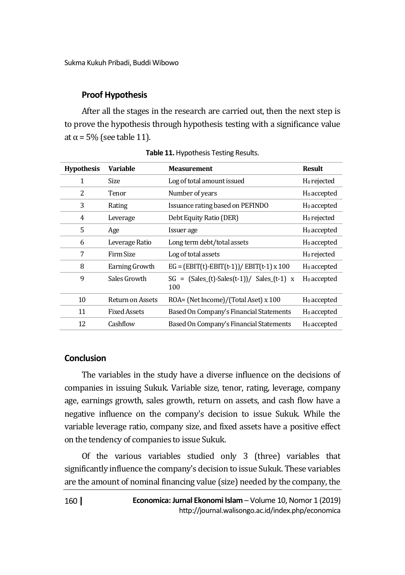### **Proof Hypothesis**

After all the stages in the research are carried out, then the next step is to prove the hypothesis through hypothesis testing with a significance value at  $\alpha$  = 5% (see table 11).

| <b>Hypothesis</b> | Variable            | <b>Measurement</b>                                        | <b>Result</b>           |
|-------------------|---------------------|-----------------------------------------------------------|-------------------------|
| 1                 | Size                | Log of total amount issued                                | $H_0$ rejected          |
| 2                 | Tenor               | Number of years                                           | $H_0$ accepted          |
| 3                 | Rating              | Issuance rating based on PEFINDO                          | $H_0$ accepted          |
| 4                 | Leverage            | Debt Equity Ratio (DER)                                   | H <sub>0</sub> rejected |
| 5                 | Age                 | Issuer age                                                | $H_0$ accepted          |
| 6                 | Leverage Ratio      | Long term debt/total assets                               | $H_0$ accepted          |
| 7                 | Firm Size           | Log of total assets                                       | H <sub>0</sub> rejected |
| 8                 | Earning Growth      | $EG = (EBIT(t)-EBIT(t-1))/EBIT(t-1) \times 100$           | $H_0$ accepted          |
| 9                 | Sales Growth        | $SG = (Sales_{t}-Sales_{t}-1)/Sales_{t}-1) \times$<br>100 | $H_0$ accepted          |
| 10                | Return on Assets    | ROA= (Net Income)/(Total Aset) x 100                      | H <sub>0</sub> accepted |
| 11                | <b>Fixed Assets</b> | Based On Company's Financial Statements                   | $H_0$ accepted          |
| 12                | Cashflow            | Based On Company's Financial Statements                   | $H_0$ accepted          |

**Table 11.**Hypothesis Testing Results.

### **Conclusion**

The variables in the study have a diverse influence on the decisions of companies in issuing Sukuk. Variable size, tenor, rating, leverage, company age, earnings growth, sales growth, return on assets, and cash flow have a negative influence on the company's decision to issue Sukuk. While the variable leverage ratio, company size, and fixed assets have a positive effect on the tendency of companies to issue Sukuk.

Of the various variables studied only 3 (three) variables that significantly influence the company's decision to issue Sukuk. These variables are the amount of nominal financing value (size) needed by the company, the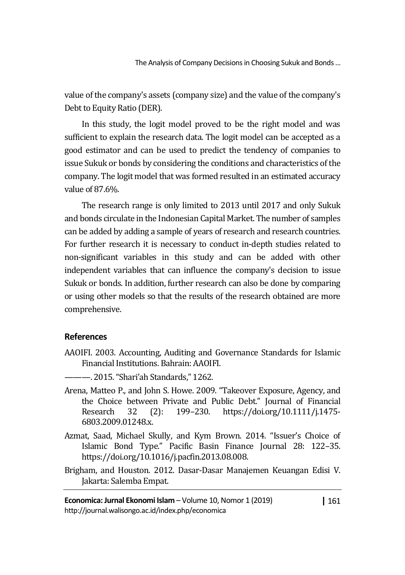value of the company's assets (company size) and the value of the company's Debt to Equity Ratio (DER).

In this study, the logit model proved to be the right model and was sufficient to explain the research data. The logit model can be accepted as a good estimator and can be used to predict the tendency of companies to issue Sukuk or bonds by considering the conditions and characteristics of the company. The logit model that was formed resulted in an estimated accuracy value of 87.6%.

The research range is only limited to 2013 until 2017 and only Sukuk and bonds circulate in the Indonesian Capital Market. The number of samples can be added by adding a sample of years of research and research countries. For further research it is necessary to conduct in-depth studies related to non-significant variables in this study and can be added with other independent variables that can influence the company's decision to issue Sukuk or bonds. In addition, further research can also be done by comparing or using other models so that the results of the research obtained are more comprehensive.

### **References**

- AAOIFI. 2003. Accounting, Auditing and Governance Standards for Islamic Financial Institutions. Bahrain: AAOIFI.
- ———. 2015. "Shari'ah Standards," 1262.
- Arena, Matteo P., and John S. Howe. 2009. "Takeover Exposure, Agency, and the Choice between Private and Public Debt." Journal of Financial Research 32 (2): 199–230. https://doi.org/10.1111/j.1475- 6803.2009.01248.x.
- Azmat, Saad, Michael Skully, and Kym Brown. 2014. "Issuer's Choice of Islamic Bond Type." Pacific Basin Finance Journal 28: 122–35. https://doi.org/10.1016/j.pacfin.2013.08.008.
- Brigham, and Houston. 2012. Dasar-Dasar Manajemen Keuangan Edisi V. Jakarta: Salemba Empat.

**|** 161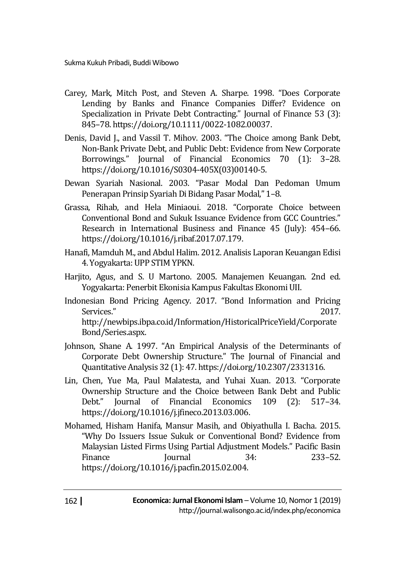- Carey, Mark, Mitch Post, and Steven A. Sharpe. 1998. "Does Corporate Lending by Banks and Finance Companies Differ? Evidence on Specialization in Private Debt Contracting." Journal of Finance 53 (3): 845–78. https://doi.org/10.1111/0022-1082.00037.
- Denis, David J., and Vassil T. Mihov. 2003. "The Choice among Bank Debt, Non-Bank Private Debt, and Public Debt: Evidence from New Corporate Borrowings." Journal of Financial Economics 70 (1): 3–28. https://doi.org/10.1016/S0304-405X(03)00140-5.
- Dewan Syariah Nasional. 2003. "Pasar Modal Dan Pedoman Umum Penerapan Prinsip Syariah Di Bidang Pasar Modal," 1–8.
- Grassa, Rihab, and Hela Miniaoui. 2018. "Corporate Choice between Conventional Bond and Sukuk Issuance Evidence from GCC Countries." Research in International Business and Finance 45 (July): 454–66. https://doi.org/10.1016/j.ribaf.2017.07.179.
- Hanafi, Mamduh M., and Abdul Halim. 2012. Analisis Laporan Keuangan Edisi 4. Yogyakarta: UPP STIM YPKN.
- Harjito, Agus, and S. U Martono. 2005. Manajemen Keuangan. 2nd ed. Yogyakarta: Penerbit Ekonisia Kampus Fakultas Ekonomi UII.
- Indonesian Bond Pricing Agency. 2017. "Bond Information and Pricing Services." 2017. http://newbips.ibpa.co.id/Information/HistoricalPriceYield/Corporate Bond/Series.aspx.
- Johnson, Shane A. 1997. "An Empirical Analysis of the Determinants of Corporate Debt Ownership Structure." The Journal of Financial and Quantitative Analysis 32 (1): 47. https://doi.org/10.2307/2331316.
- Lin, Chen, Yue Ma, Paul Malatesta, and Yuhai Xuan. 2013. "Corporate Ownership Structure and the Choice between Bank Debt and Public Debt." Journal of Financial Economics 109 (2): 517–34. https://doi.org/10.1016/j.jfineco.2013.03.006.
- Mohamed, Hisham Hanifa, Mansur Masih, and Obiyathulla I. Bacha. 2015. "Why Do Issuers Issue Sukuk or Conventional Bond? Evidence from Malaysian Listed Firms Using Partial Adjustment Models." Pacific Basin Finance Journal 34: 233–52. https://doi.org/10.1016/j.pacfin.2015.02.004.